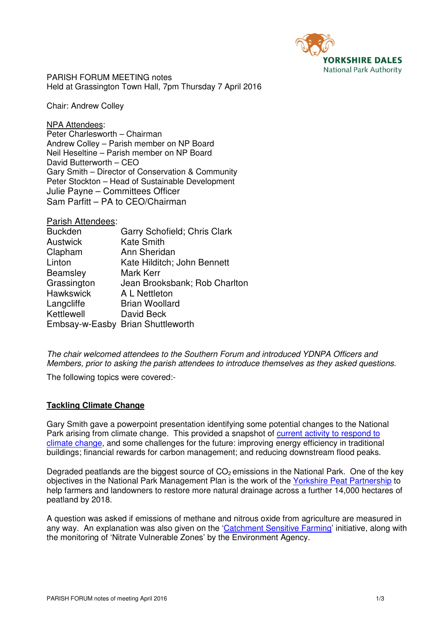

PARISH FORUM MEETING notes Held at Grassington Town Hall, 7pm Thursday 7 April 2016

Chair: Andrew Colley

NPA Attendees: Peter Charlesworth – Chairman Andrew Colley – Parish member on NP Board Neil Heseltine – Parish member on NP Board David Butterworth – CEO Gary Smith – Director of Conservation & Community Peter Stockton – Head of Sustainable Development Julie Payne – Committees Officer Sam Parfitt – PA to CEO/Chairman

| Parish Attendees: |                                   |
|-------------------|-----------------------------------|
| <b>Buckden</b>    | Garry Schofield; Chris Clark      |
| <b>Austwick</b>   | <b>Kate Smith</b>                 |
| Clapham           | Ann Sheridan                      |
| Linton            | Kate Hilditch; John Bennett       |
| <b>Beamsley</b>   | Mark Kerr                         |
| Grassington       | Jean Brooksbank; Rob Charlton     |
| <b>Hawkswick</b>  | A L Nettleton                     |
| Langcliffe        | <b>Brian Woollard</b>             |
| Kettlewell        | David Beck                        |
|                   | Embsay-w-Easby Brian Shuttleworth |

The chair welcomed attendees to the Southern Forum and introduced YDNPA Officers and Members, prior to asking the parish attendees to introduce themselves as they asked questions.

The following topics were covered:-

### **Tackling Climate Change**

Gary Smith gave a powerpoint presentation identifying some potential changes to the National Park arising from climate change. This provided a snapshot of current activity to respond to climate change, and some challenges for the future: improving energy efficiency in traditional buildings; financial rewards for carbon management; and reducing downstream flood peaks.

Degraded peatlands are the biggest source of  $CO<sub>2</sub>$  emissions in the National Park. One of the key objectives in the National Park Management Plan is the work of the Yorkshire Peat Partnership to help farmers and landowners to restore more natural drainage across a further 14,000 hectares of peatland by 2018.

A question was asked if emissions of methane and nitrous oxide from agriculture are measured in any way. An explanation was also given on the 'Catchment Sensitive Farming' initiative, along with the monitoring of 'Nitrate Vulnerable Zones' by the Environment Agency.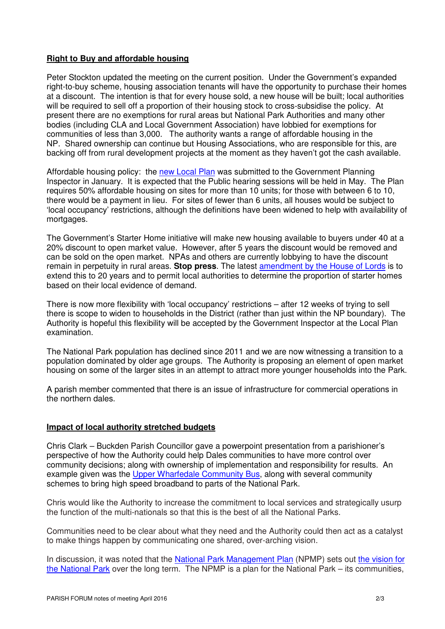# **Right to Buy and affordable housing**

Peter Stockton updated the meeting on the current position. Under the Government's expanded right-to-buy scheme, housing association tenants will have the opportunity to purchase their homes at a discount. The intention is that for every house sold, a new house will be built; local authorities will be required to sell off a proportion of their housing stock to cross-subsidise the policy. At present there are no exemptions for rural areas but National Park Authorities and many other bodies (including CLA and Local Government Association) have lobbied for exemptions for communities of less than 3,000. The authority wants a range of affordable housing in the NP. Shared ownership can continue but Housing Associations, who are responsible for this, are backing off from rural development projects at the moment as they haven't got the cash available.

Affordable housing policy: the new Local Plan was submitted to the Government Planning Inspector in January. It is expected that the Public hearing sessions will be held in May. The Plan requires 50% affordable housing on sites for more than 10 units; for those with between 6 to 10, there would be a payment in lieu. For sites of fewer than 6 units, all houses would be subject to 'local occupancy' restrictions, although the definitions have been widened to help with availability of mortgages.

The Government's Starter Home initiative will make new housing available to buyers under 40 at a 20% discount to open market value. However, after 5 years the discount would be removed and can be sold on the open market. NPAs and others are currently lobbying to have the discount remain in perpetuity in rural areas. **Stop press**. The latest amendment by the House of Lords is to extend this to 20 years and to permit local authorities to determine the proportion of starter homes based on their local evidence of demand.

There is now more flexibility with 'local occupancy' restrictions – after 12 weeks of trying to sell there is scope to widen to households in the District (rather than just within the NP boundary). The Authority is hopeful this flexibility will be accepted by the Government Inspector at the Local Plan examination.

The National Park population has declined since 2011 and we are now witnessing a transition to a population dominated by older age groups. The Authority is proposing an element of open market housing on some of the larger sites in an attempt to attract more younger households into the Park.

A parish member commented that there is an issue of infrastructure for commercial operations in the northern dales.

### **Impact of local authority stretched budgets**

Chris Clark – Buckden Parish Councillor gave a powerpoint presentation from a parishioner's perspective of how the Authority could help Dales communities to have more control over community decisions; along with ownership of implementation and responsibility for results. An example given was the Upper Wharfedale Community Bus, along with several community schemes to bring high speed broadband to parts of the National Park.

Chris would like the Authority to increase the commitment to local services and strategically usurp the function of the multi-nationals so that this is the best of all the National Parks.

Communities need to be clear about what they need and the Authority could then act as a catalyst to make things happen by communicating one shared, over-arching vision.

In discussion, it was noted that the National Park Management Plan (NPMP) sets out the vision for the National Park over the long term. The NPMP is a plan for the National Park – its communities,